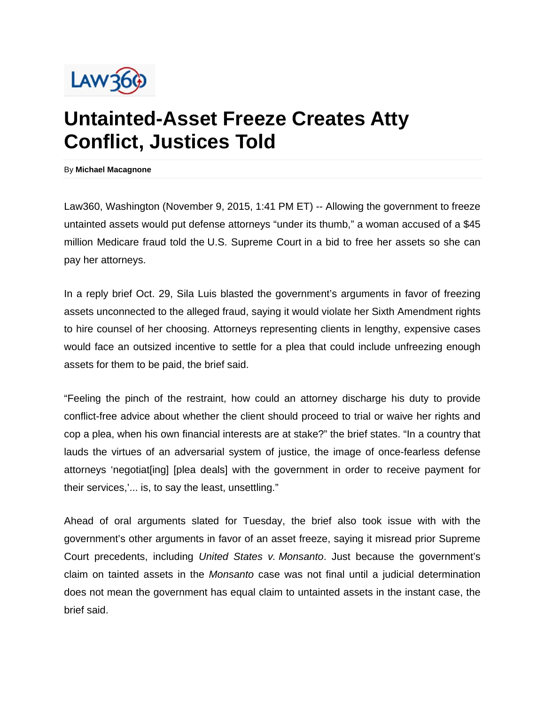

## **Untainted-Asset Freeze Creates Atty Conflict, Justices Told**

By **Michael Macagnone**

Law360, Washington (November 9, 2015, 1:41 PM ET) -- Allowing the government to freeze untainted assets would put defense attorneys "under its thumb," a woman accused of a \$45 million Medicare fraud told the U.S. Supreme Court in a bid to free her assets so she can pay her attorneys.

In a reply brief Oct. 29, Sila Luis blasted the government's arguments in favor of freezing assets unconnected to the alleged fraud, saying it would violate her Sixth Amendment rights to hire counsel of her choosing. Attorneys representing clients in lengthy, expensive cases would face an outsized incentive to settle for a plea that could include unfreezing enough assets for them to be paid, the brief said.

"Feeling the pinch of the restraint, how could an attorney discharge his duty to provide conflict-free advice about whether the client should proceed to trial or waive her rights and cop a plea, when his own financial interests are at stake?" the brief states. "In a country that lauds the virtues of an adversarial system of justice, the image of once-fearless defense attorneys 'negotiat[ing] [plea deals] with the government in order to receive payment for their services,'... is, to say the least, unsettling."

Ahead of oral arguments slated for Tuesday, the brief also took issue with with the government's other arguments in favor of an asset freeze, saying it misread prior Supreme Court precedents, including *United States v. Monsanto*. Just because the government's claim on tainted assets in the *Monsanto* case was not final until a judicial determination does not mean the government has equal claim to untainted assets in the instant case, the brief said.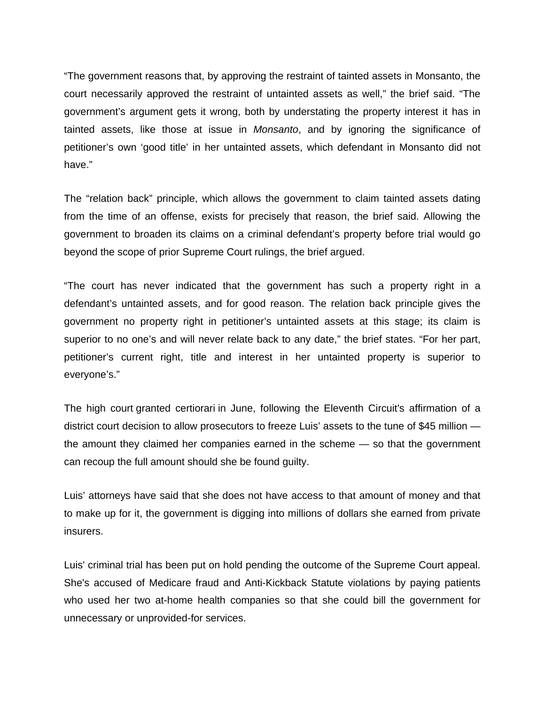"The government reasons that, by approving the restraint of tainted assets in Monsanto, the court necessarily approved the restraint of untainted assets as well," the brief said. "The government's argument gets it wrong, both by understating the property interest it has in tainted assets, like those at issue in *Monsanto*, and by ignoring the significance of petitioner's own 'good title' in her untainted assets, which defendant in Monsanto did not have."

The "relation back" principle, which allows the government to claim tainted assets dating from the time of an offense, exists for precisely that reason, the brief said. Allowing the government to broaden its claims on a criminal defendant's property before trial would go beyond the scope of prior Supreme Court rulings, the brief argued.

"The court has never indicated that the government has such a property right in a defendant's untainted assets, and for good reason. The relation back principle gives the government no property right in petitioner's untainted assets at this stage; its claim is superior to no one's and will never relate back to any date," the brief states. "For her part, petitioner's current right, title and interest in her untainted property is superior to everyone's."

The high court granted certiorari in June, following the Eleventh Circuit's affirmation of a district court decision to allow prosecutors to freeze Luis' assets to the tune of \$45 million the amount they claimed her companies earned in the scheme — so that the government can recoup the full amount should she be found guilty.

Luis' attorneys have said that she does not have access to that amount of money and that to make up for it, the government is digging into millions of dollars she earned from private insurers.

Luis' criminal trial has been put on hold pending the outcome of the Supreme Court appeal. She's accused of Medicare fraud and Anti-Kickback Statute violations by paying patients who used her two at-home health companies so that she could bill the government for unnecessary or unprovided-for services.